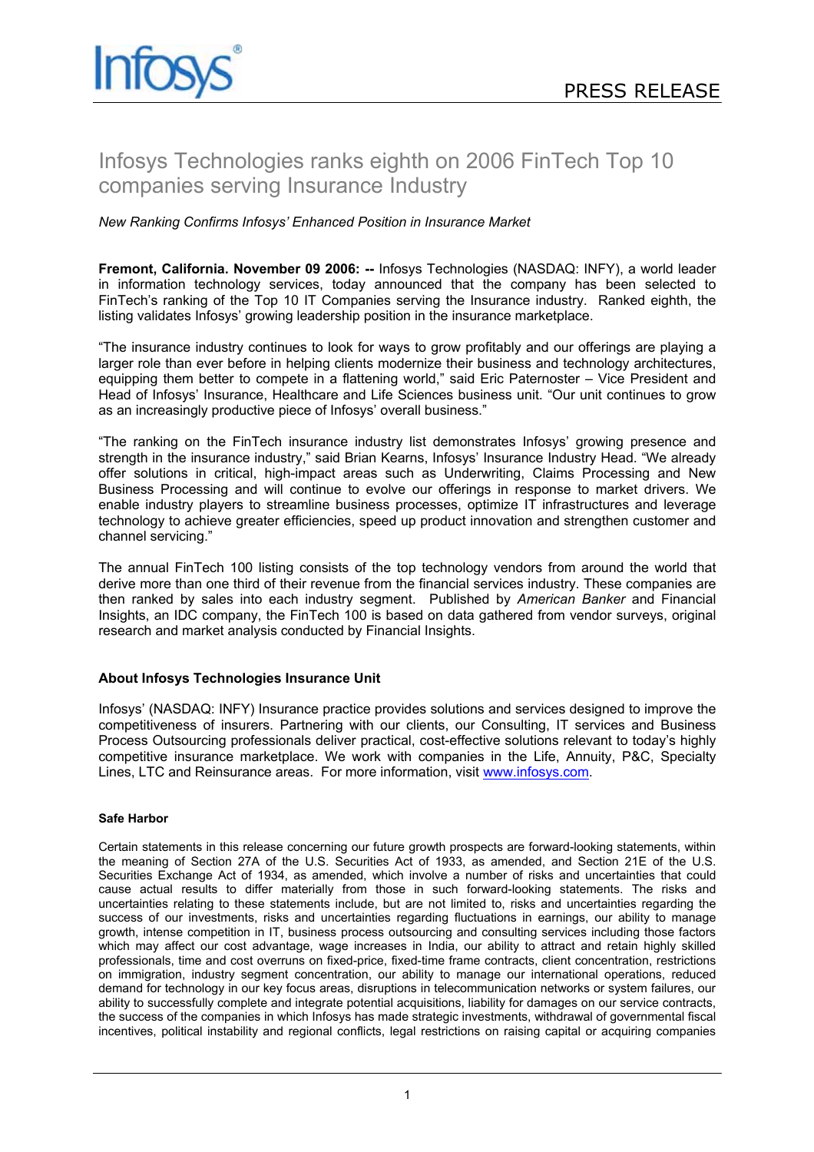# Infosys Technologies ranks eighth on 2006 FinTech Top 10 companies serving Insurance Industry

## *New Ranking Confirms Infosys' Enhanced Position in Insurance Market*

**Fremont, California. November 09 2006: --** Infosys Technologies (NASDAQ: INFY), a world leader in information technology services, today announced that the company has been selected to FinTech's ranking of the Top 10 IT Companies serving the Insurance industry. Ranked eighth, the listing validates Infosys' growing leadership position in the insurance marketplace.

"The insurance industry continues to look for ways to grow profitably and our offerings are playing a larger role than ever before in helping clients modernize their business and technology architectures, equipping them better to compete in a flattening world," said Eric Paternoster – Vice President and Head of Infosys' Insurance, Healthcare and Life Sciences business unit. "Our unit continues to grow as an increasingly productive piece of Infosys' overall business."

"The ranking on the FinTech insurance industry list demonstrates Infosys' growing presence and strength in the insurance industry," said Brian Kearns, Infosys' Insurance Industry Head. "We already offer solutions in critical, high-impact areas such as Underwriting, Claims Processing and New Business Processing and will continue to evolve our offerings in response to market drivers. We enable industry players to streamline business processes, optimize IT infrastructures and leverage technology to achieve greater efficiencies, speed up product innovation and strengthen customer and channel servicing."

The annual FinTech 100 listing consists of the top technology vendors from around the world that derive more than one third of their revenue from the financial services industry. These companies are then ranked by sales into each industry segment. Published by *American Banker* and Financial Insights, an IDC company, the FinTech 100 is based on data gathered from vendor surveys, original research and market analysis conducted by Financial Insights.

### **About Infosys Technologies Insurance Unit**

Infosys' (NASDAQ: INFY) Insurance practice provides solutions and services designed to improve the competitiveness of insurers. Partnering with our clients, our Consulting, IT services and Business Process Outsourcing professionals deliver practical, cost-effective solutions relevant to today's highly competitive insurance marketplace. We work with companies in the Life, Annuity, P&C, Specialty Lines, LTC and Reinsurance areas. For more information, visit www.infosys.com.

### **Safe Harbor**

Certain statements in this release concerning our future growth prospects are forward-looking statements, within the meaning of Section 27A of the U.S. Securities Act of 1933, as amended, and Section 21E of the U.S. Securities Exchange Act of 1934, as amended, which involve a number of risks and uncertainties that could cause actual results to differ materially from those in such forward-looking statements. The risks and uncertainties relating to these statements include, but are not limited to, risks and uncertainties regarding the success of our investments, risks and uncertainties regarding fluctuations in earnings, our ability to manage growth, intense competition in IT, business process outsourcing and consulting services including those factors which may affect our cost advantage, wage increases in India, our ability to attract and retain highly skilled professionals, time and cost overruns on fixed-price, fixed-time frame contracts, client concentration, restrictions on immigration, industry segment concentration, our ability to manage our international operations, reduced demand for technology in our key focus areas, disruptions in telecommunication networks or system failures, our ability to successfully complete and integrate potential acquisitions, liability for damages on our service contracts, the success of the companies in which Infosys has made strategic investments, withdrawal of governmental fiscal incentives, political instability and regional conflicts, legal restrictions on raising capital or acquiring companies